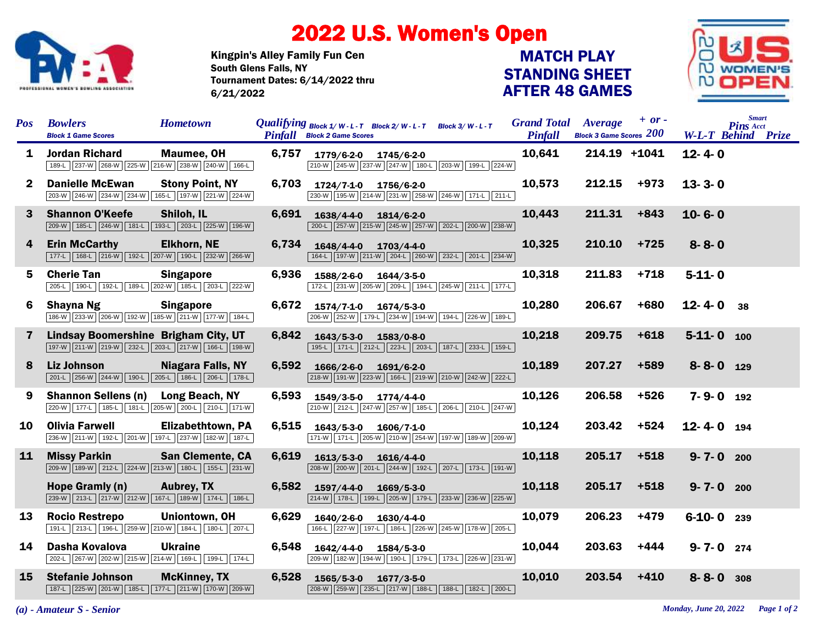

## 2022 U.S. Women's Open

Kingpin's Alley Family Fun Cen Tournament Dates: 6/14/2022 thru 6/21/2022 South Glens Falls, NY

## STANDING SHEET AFTER 48 GAMES MATCH PLAY



| <b>Pos</b>     | <b>Bowlers</b><br><b>Block 1 Game Scores</b>                                            | <b>Hometown</b>          |       | <i>Qualifying</i> $Block\ 1/W-L-T$ Block 2/W-L-T Block 3/W-L-T<br><b>Pinfall</b> Block 2 Game Scores |                  |                                                 | <b>Grand Total Average</b><br>Pinfall | <b>Block 3 Game Scores <math>200</math></b> | $+$ or - |                  | <b>Smart</b><br><b>Pins Acct</b><br><b>W-L-T Behind Prize</b> |
|----------------|-----------------------------------------------------------------------------------------|--------------------------|-------|------------------------------------------------------------------------------------------------------|------------------|-------------------------------------------------|---------------------------------------|---------------------------------------------|----------|------------------|---------------------------------------------------------------|
| 1              | <b>Jordan Richard</b><br>189-L 237-W 268-W 225-W 216-W 238-W 240-W 166-L                | <b>Maumee, OH</b>        | 6,757 | 1779/6-2-0 1745/6-2-0                                                                                |                  | 210-W 245-W 237-W 247-W 180-L 203-W 199-L 224-W | 10,641                                | 214.19 +1041                                |          | $12 - 4 - 0$     |                                                               |
| $\mathbf{2}$   | <b>Danielle McEwan</b><br>203-W 246-W 234-W 234-W 165-L 197-W 221-W 224-W               | <b>Stony Point, NY</b>   | 6,703 | 1724/7-1-0 1756/6-2-0                                                                                |                  | 230-W 195-W 214-W 231-W 258-W 246-W 171-L 211-L | 10,573                                | 212.15                                      | $+973$   | $13 - 3 - 0$     |                                                               |
| 3              | <b>Shannon O'Keefe</b><br>209-W 185-L 246-W 181-L 193-L 203-L 225-W 196-W               | Shiloh, IL               | 6,691 | 1638/4-4-0 1814/6-2-0                                                                                |                  | 200-L 257-W 215-W 245-W 257-W 202-L 200-W 238-W | 10,443                                | 211.31                                      | $+843$   | $10 - 6 - 0$     |                                                               |
| 4              | <b>Erin McCarthy</b><br>177-L   168-L   216-W   192-L   207-W   190-L   232-W   266-W   | <b>Elkhorn, NE</b>       | 6,734 | 1648/4-4-0 1703/4-4-0                                                                                |                  | 164-L 197-W 211-W 204-L 260-W 232-L 201-L 234-W | 10,325                                | 210.10                                      | $+725$   | $8 - 8 - 0$      |                                                               |
| 5.             | <b>Cherie Tan</b><br>205-L 190-L 192-L 189-L 202-W 185-L 203-L 222-W                    | <b>Singapore</b>         | 6,936 | 1588/2-6-0 1644/3-5-0                                                                                |                  | 172-L 231-W 205-W 209-L 194-L 245-W 211-L 177-L | 10,318                                | 211.83                                      | $+718$   | $5-11-0$         |                                                               |
| 6.             | Shayna Ng<br>186-W   233-W   206-W   192-W   185-W   211-W   177-W   184-L              | <b>Singapore</b>         | 6,672 | 1574/7-1-0 1674/5-3-0                                                                                |                  | 206-W 252-W 179-L 234-W 194-W 194-L 226-W 189-L | 10,280                                | 206.67                                      | $+680$   | $12 - 4 - 0$     | 38                                                            |
| $\overline{7}$ | Lindsay Boomershine Brigham City, UT<br>197-W 211-W 219-W 232-L 203-L 217-W 166-L 198-W |                          | 6,842 | 1643/5-3-0 1583/0-8-0                                                                                |                  | 195-L 171-L 212-L 223-L 203-L 187-L 233-L 159-L | 10,218                                | 209.75                                      | $+618$   | $5-11-0$         | 100                                                           |
| 8              | <b>Liz Johnson</b><br>201-L 256-W 244-W 190-L 205-L 186-L 206-L 178-L                   | <b>Niagara Falls, NY</b> | 6,592 | 1666/2-6-0 1691/6-2-0                                                                                |                  | 218-W 191-W 223-W 166-L 219-W 210-W 242-W 222-L | 10,189                                | 207.27                                      | $+589$   | $8 - 8 - 0$ 129  |                                                               |
| 9              | Shannon Sellens (n) Long Beach, NY<br>220-W 177-L 185-L 181-L 205-W 200-L 210-L 171-W   |                          | 6,593 | 1549/3-5-0                                                                                           | 1774/4-4-0       | 210-W 212-L 247-W 257-W 185-L 206-L 210-L 247-W | 10,126                                | 206.58                                      | $+526$   | $7 - 9 - 0$      | 192                                                           |
| 10             | <b>Olivia Farwell</b><br>236-W 211-W 192-L 201-W 197-L 237-W 182-W 187-L                | <b>Elizabethtown, PA</b> | 6,515 | 1643/5-3-0 1606/7-1-0                                                                                |                  | 171-W 171-L 205-W 210-W 254-W 197-W 189-W 209-W | 10,124                                | 203.42                                      | $+524$   | $12 - 4 - 0$     | 194                                                           |
| 11             | <b>Missy Parkin</b><br>209-W 189-W 212-L 224-W 213-W 180-L 155-L 231-W                  | <b>San Clemente, CA</b>  | 6,619 | 1613/5-3-0 1616/4-4-0                                                                                |                  | 208-W 200-W 201-L 244-W 192-L 207-L 173-L 191-W | 10,118                                | 205.17                                      | $+518$   | $9 - 7 - 0$      | 200                                                           |
|                | Hope Gramly (n)<br>239-W   213-L   217-W   212-W   167-L   189-W   174-L   186-L        | <b>Aubrey, TX</b>        | 6,582 | 1597/4-4-0 1669/5-3-0                                                                                |                  | 214-W 178-L 199-L 205-W 179-L 233-W 236-W 225-W | 10,118                                | 205.17                                      | $+518$   | $9 - 7 - 0$ 200  |                                                               |
| 13             | <b>Rocio Restrepo</b><br>191-L 213-L 196-L 259-W 210-W 184-L 180-L 207-L                | Uniontown, OH            | 6,629 | 1640/2-6-0                                                                                           | $1630/4 - 4 - 0$ | 166-L 227-W 197-L 186-L 226-W 245-W 178-W 205-L | 10,079                                | 206.23                                      | $+479$   | $6 - 10 - 0$ 239 |                                                               |
| 14             | Dasha Kovalova<br>202-L 267-W 202-W 215-W 214-W 169-L 199-L 174-L                       | <b>Ukraine</b>           | 6,548 | 1642/4-4-0 1584/5-3-0                                                                                |                  | 209-W 182-W 194-W 190-L 179-L 173-L 226-W 231-W | 10,044                                | 203.63                                      | $+444$   | $9 - 7 - 0$      | 274                                                           |
| 15             | <b>Stefanie Johnson</b><br>187-L 225-W 201-W 185-L 177-L 211-W 170-W 209-W              | <b>McKinney, TX</b>      | 6,528 | 1565/5-3-0 1677/3-5-0                                                                                |                  | 208-W 259-W 235-L 217-W 188-L 188-L 182-L 200-L | 10,010                                | 203.54                                      | $+410$   | $8 - 8 - 0$      | 308                                                           |